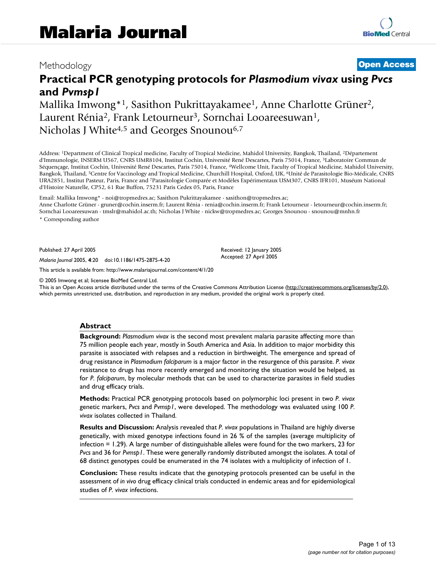# Methodology **[Open Access](http://www.biomedcentral.com/info/about/charter/)**

# **Practical PCR genotyping protocols for** *Plasmodium vivax* **using** *Pvcs*  **and** *Pvmsp1*

Mallika Imwong\*<sup>1</sup>, Sasithon Pukrittayakamee<sup>1</sup>, Anne Charlotte Grüner<sup>2</sup>, Laurent Rénia<sup>2</sup>, Frank Letourneur<sup>3</sup>, Sornchai Looareesuwan<sup>1</sup>, Nicholas J White<sup>4,5</sup> and Georges Snounou<sup>6,7</sup>

Address: <sup>1</sup>Department of Clinical Tropical medicine, Faculty of Tropical Medicine, Mahidol University, Bangkok, Thailand, <sup>2</sup>Département d'Immunologie, INSERM U567, CNRS UMR8104, Institut Cochin, Université René Descartes, Paris 75014, France, <sup>3</sup>Laboratoire Commun de Séquençage, Institut Cochin, Université René Descartes, Paris 75014, France, <sup>4</sup>Wellcome Unit, Faculty of Tropical Medicine, Mahidol University, Bangkok, Thailand, <sup>5</sup>Centre for Vaccinology and Tropical Medicine, Churchill Hospital, Oxford, UK, <sup>6</sup>Unité de Parasitologie Bio-Médicale, CNRS URA2851, Institut Pasteur, Paris, France and <sup>7</sup>Parasitologie Comparée et Modèles Expérimentaux USM307, CNRS IFR101, Muséum National d'Histoire Naturelle, CP52, 61 Rue Buffon, 75231 Paris Cedex 05, Paris, France

Email: Mallika Imwong\* - noi@tropmedres.ac; Sasithon Pukrittayakamee - sasithon@tropmedres.ac;

Anne Charlotte Grüner - gruner@cochin.inserm.fr; Laurent Rénia - renia@cochin.inserm.fr; Frank Letourneur - letourneur@cochin.inserm.fr; Sornchai Looareesuwan - tmslr@mahidol.ac.th; Nicholas J White - nickw@tropmedres.ac; Georges Snounou - snounou@mnhn.fr \* Corresponding author

Published: 27 April 2005

*Malaria Journal* 2005, **4**:20 doi:10.1186/1475-2875-4-20

[This article is available from: http://www.malariajournal.com/content/4/1/20](http://www.malariajournal.com/content/4/1/20)

© 2005 Imwong et al; licensee BioMed Central Ltd.

This is an Open Access article distributed under the terms of the Creative Commons Attribution License [\(http://creativecommons.org/licenses/by/2.0\)](http://creativecommons.org/licenses/by/2.0), which permits unrestricted use, distribution, and reproduction in any medium, provided the original work is properly cited.

Received: 12 January 2005 Accepted: 27 April 2005

#### **Abstract**

**Background:** *Plasmodium vivax* is the second most prevalent malaria parasite affecting more than 75 million people each year, mostly in South America and Asia. In addition to major morbidity this parasite is associated with relapses and a reduction in birthweight. The emergence and spread of drug resistance in *Plasmodium falciparum* is a major factor in the resurgence of this parasite. *P. vivax* resistance to drugs has more recently emerged and monitoring the situation would be helped, as for *P. falciparum*, by molecular methods that can be used to characterize parasites in field studies and drug efficacy trials.

**Methods:** Practical PCR genotyping protocols based on polymorphic loci present in two *P. vivax* genetic markers, *Pvcs* and *Pvmsp1*, were developed. The methodology was evaluated using 100 *P. vivax* isolates collected in Thailand.

**Results and Discussion:** Analysis revealed that *P. vivax* populations in Thailand are highly diverse genetically, with mixed genotype infections found in 26 % of the samples (average multiplicity of infection = 1.29). A large number of distinguishable alleles were found for the two markers, 23 for *Pvcs* and 36 for *Pvmsp1*. These were generally randomly distributed amongst the isolates. A total of 68 distinct genotypes could be enumerated in the 74 isolates with a multiplicity of infection of 1.

**Conclusion:** These results indicate that the genotyping protocols presented can be useful in the assessment of *in vivo* drug efficacy clinical trials conducted in endemic areas and for epidemiological studies of *P. vivax* infections.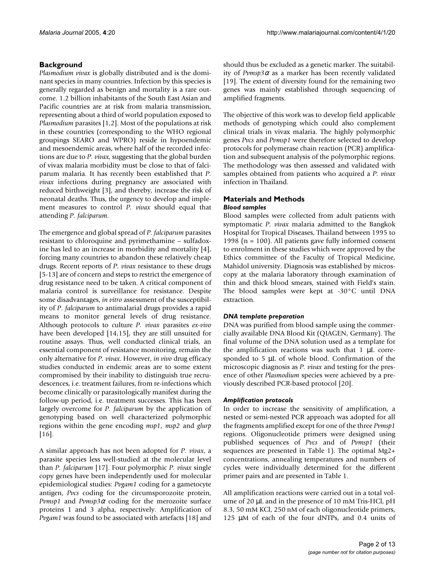# **Background**

*Plasmodium vivax* is globally distributed and is the dominant species in many countries. Infection by this species is generally regarded as benign and mortality is a rare outcome. 1.2 billion inhabitants of the South East Asian and Pacific countries are at risk from malaria transmission, representing about a third of world population exposed to *Plasmodium parasites* [1,2]. Most of the populations at risk in these countries (corresponding to the WHO regional groupings SEARO and WPRO) reside in hypoendemic and mesoendemic areas, where half of the recorded infections are due to *P. vivax*, suggesting that the global burden of vivax malaria morbidity must be close to that of falciparum malaria. It has recently been established that *P. vivax* infections during pregnancy are associated with reduced birthweight [3], and thereby, increase the risk of neonatal deaths. Thus, the urgency to develop and implement measures to control *P. vivax* should equal that attending *P. falciparum*.

The emergence and global spread of *P. falciparum* parasites resistant to chloroquine and pyrimethamine – sulfadoxine has led to an increase in morbidity and mortality [4], forcing many countries to abandon these relatively cheap drugs. Recent reports of *P. vivax* resistance to these drugs [5-13] are of concern and steps to restrict the emergence of drug resistance need to be taken. A critical component of malaria control is surveillance for resistance. Despite some disadvantages, *in vitro* assessment of the susceptibility of *P. falciparum* to antimalarial drugs provides a rapid means to monitor general levels of drug resistance. Although protocols to culture *P. vivax* parasites *ex-vivo* have been developed [14,15], they are still unsuited for routine assays. Thus, well conducted clinical trials, an essential component of resistance monitoring, remain the only alternative for *P. vivax*. However, *in vivo* drug efficacy studies conducted in endemic areas are to some extent compromised by their inability to distinguish true recrudescences, i.e. treatment failures, from re-infections which become clinically or parasitologically manifest during the follow-up period, i.e. treatment successes. This has been largely overcome for *P. falciparum* by the application of genotyping based on well characterized polymorphic regions within the gene encoding *msp1*, *msp2* and *glurp* [16].

A similar approach has not been adopted for *P. vivax*, a parasite species less well-studied at the molecular level than *P. falciparum* [17]. Four polymorphic *P. vivax* single copy genes have been independently used for molecular epidemiological studies: *Pvgam1* coding for a gametocyte antigen, *Pvcs* coding for the circumsporozoite protein, *Pvmsp1* and *Pvmsp3*<sup>α</sup> coding for the merozoite surface proteins 1 and 3 alpha, respectively. Amplification of *Pvgam1* was found to be associated with artefacts [18] and

should thus be excluded as a genetic marker. The suitability of *Pvmsp3* $\alpha$  as a marker has been recently validated [19]. The extent of diversity found for the remaining two genes was mainly established through sequencing of amplified fragments.

The objective of this work was to develop field applicable methods of genotyping which could also complement clinical trials in vivax malaria. The highly polymorphic genes *Pvcs* and *Pvmsp1* were therefore selected to develop protocols for polymerase chain reaction (PCR) amplification and subsequent analysis of the polymorphic regions. The methodology was then assessed and validated with samples obtained from patients who acquired a *P. vivax* infection in Thailand.

# **Materials and Methods** *Blood samples*

Blood samples were collected from adult patients with symptomatic *P. vivax* malaria admitted to the Bangkok Hospital for Tropical Diseases, Thailand between 1995 to 1998 (n = 100). All patients gave fully informed consent to enrolment in these studies which were approved by the Ethics committee of the Faculty of Tropical Medicine, Mahidol university. Diagnosis was established by microscopy at the malaria laboratory through examination of thin and thick blood smears, stained with Field's stain. The blood samples were kept at -30°C until DNA extraction.

# *DNA template preparation*

DNA was purified from blood sample using the commercially available DNA Blood Kit (QIAGEN, Germany). The final volume of the DNA solution used as a template for the amplification reactions was such that 1 µL corresponded to 5 µL of whole blood. Confirmation of the microscopic diagnosis as *P. vivax* and testing for the presence of other *Plasmodium* species were achieved by a previously described PCR-based protocol [20].

# *Amplification protocols*

In order to increase the sensitivity of amplification, a nested or semi-nested PCR approach was adopted for all the fragments amplified except for one of the three *Pvmsp1* regions. Oligonucleotide primers were designed using published sequences of *Pvcs* and of *Pvmsp1* (their sequences are presented in Table [1\)](#page-2-0). The optimal Mg2+ concentrations, annealing temperatures and numbers of cycles were individually determined for the different primer pairs and are presented in Table [1.](#page-2-0)

All amplification reactions were carried out in a total volume of 20 µL and in the presence of 10 mM Tris-HCl, pH 8.3, 50 mM KCl, 250 nM of each oligonucleotide primers, 125 µM of each of the four dNTPs, and 0.4 units of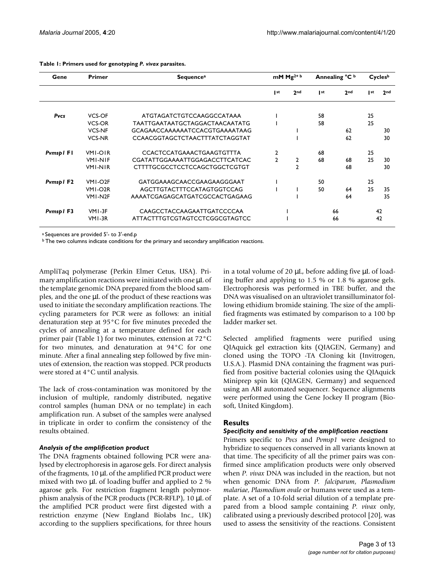| Gene      | <b>Primer</b>        | Sequence <sup>a</sup>                 | mM $Mg^{2+b}$  |                 | Annealing °C b |                 | Cycles <sup>b</sup> |                 |
|-----------|----------------------|---------------------------------------|----------------|-----------------|----------------|-----------------|---------------------|-----------------|
|           |                      |                                       | st             | 2 <sub>nd</sub> | st             | 2 <sub>nd</sub> | st                  | 2 <sub>nd</sub> |
| Pvcs      | VCS-OF               | ATGTAGATCTGTCCAAGGCCATAAA             |                |                 | 58             |                 | 25                  |                 |
|           | <b>VCS-OR</b>        | TAATTGAATAATGCTAGGACTAACAATATG        |                |                 | 58             |                 | 25                  |                 |
|           | <b>VCS-NF</b>        | GCAGAACCAAAAAATCCACGTGAAAATAAG        |                |                 |                | 62              |                     | 30              |
|           | <b>VCS-NR</b>        | <b>CCAACGGTAGCTCTAACTTTATCTAGGTAT</b> |                |                 |                | 62              |                     | 30              |
| Pvmsp1 F1 | <b>VMI-OIR</b>       | <b>CCACTCCATGAAACTGAAGTGTTTA</b>      | 2              |                 | 68             |                 | 25                  |                 |
|           | <b>VMI-NIF</b>       | CGATATTGGAAAATTGGAGACCTTCATCAC        | $\mathfrak{p}$ | $\mathbf{2}$    | 68             | 68              | 25                  | 30              |
|           | <b>VMI-NIR</b>       | CTTTTGCGCCTCCTCCAGCTGGCTCGTGT         |                | $\mathcal{P}$   |                | 68              |                     | 30              |
| Pymsp1 F2 | VMI-O <sub>2</sub> F | GATGGAAAGCAACCGAAGAAGGGAAT            |                |                 | 50             |                 | 25                  |                 |
|           | VMI-O <sub>2</sub> R | AGCTTGTACTTTCCATAGTGGTCCAG            |                |                 | 50             | 64              | 25                  | -35             |
|           | VMI-N2F              | AAAATCGAGAGCATGATCGCCACTGAGAAG        |                |                 |                | 64              |                     | 35              |
| Pymsp1F3  | VMI-3F               | CAAGCCTACCAAGAATTGATCCCCAA            |                |                 |                | 66              |                     | 42              |
|           | VMI-3R               | ATTACTTTGTCGTAGTCCTCGGCGTAGTCC        |                |                 |                | 66              |                     | 42              |

#### <span id="page-2-0"></span>**Table 1: Primers used for genotyping** *P. vivax* **parasites.**

<sup>a</sup> Sequences are provided 5'- to 3'-end.p

 $\overline{b}$  The two columns indicate conditions for the primary and secondary amplification reactions.

AmpliTaq polymerase (Perkin Elmer Cetus, USA). Primary amplification reactions were initiated with one  $\mu$ L of the template genomic DNA prepared from the blood samples, and the one µL of the product of these reactions was used to initiate the secondary amplification reactions. The cycling parameters for PCR were as follows: an initial denaturation step at 95°C for five minutes preceded the cycles of annealing at a temperature defined for each primer pair (Table [1](#page-2-0)) for two minutes, extension at 72°C for two minutes, and denaturation at 94°C for one minute. After a final annealing step followed by five minutes of extension, the reaction was stopped. PCR products were stored at 4°C until analysis.

The lack of cross-contamination was monitored by the inclusion of multiple, randomly distributed, negative control samples (human DNA or no template) in each amplification run. A subset of the samples were analysed in triplicate in order to confirm the consistency of the results obtained.

# *Analysis of the amplification product*

The DNA fragments obtained following PCR were analysed by electrophoresis in agarose gels. For direct analysis of the fragments, 10 µL of the amplified PCR product were mixed with two µL of loading buffer and applied to 2 % agarose gels. For restriction fragment length polymorphism analysis of the PCR products (PCR-RFLP), 10 µL of the amplified PCR product were first digested with a restriction enzyme (New England Biolabs Inc., UK) according to the suppliers specifications, for three hours in a total volume of 20  $\mu$ L, before adding five  $\mu$ L of loading buffer and applying to 1.5 % or 1.8 % agarose gels. Electrophoresis was performed in TBE buffer, and the DNA was visualised on an ultraviolet transilluminator following ethidium bromide staining. The size of the amplified fragments was estimated by comparison to a 100 bp ladder marker set.

Selected amplified fragments were purified using QIAquick gel extraction kits (QIAGEN, Germany) and cloned using the TOPO -TA Cloning kit (Invitrogen, U.S.A.). Plasmid DNA containing the fragment was purified from positive bacterial colonies using the QIAquick Miniprep spin kit (QIAGEN, Germany) and sequenced using an ABI automated sequencer. Sequence alignments were performed using the Gene Jockey II program (Biosoft, United Kingdom).

# **Results**

# *Specificity and sensitivity of the amplification reactions*

Primers specific to *Pvcs* and *Pvmsp1* were designed to hybridize to sequences conserved in all variants known at that time. The specificity of all the primer pairs was confirmed since amplification products were only observed when *P. vivax* DNA was included in the reaction, but not when genomic DNA from *P. falciparum*, *Plasmodium malariae*, *Plasmodium ovale* or humans were used as a template. A set of a 10-fold serial dilution of a template prepared from a blood sample containing *P. vivax* only, calibrated using a previously described protocol [20], was used to assess the sensitivity of the reactions. Consistent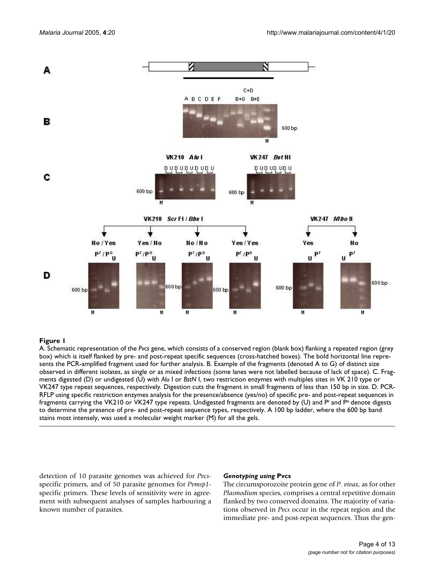

# box) which is itself flanked by pre- and post A. Schematic repres **Figure 1** entation of the *Pvcs* gene, which consists of a conserved region (b -repeat specific sequences (cross-hatched boxes) lank box) flanking a repeated region (grey

A. Schematic representation of the *Pvcs* gene, which consists of a conserved region (blank box) flanking a repeated region (grey box) which is itself flanked by pre- and post-repeat specific sequences (cross-hatched boxes). The bold horizontal line represents the PCR-amplified fragment used for further analysis. B. Example of the fragments (denoted A to G) of distinct size observed in different isolates, as single or as mixed infections (some lanes were not labelled because of lack of space). C. Fragments digested (D) or undigested (U) with *Alu* I or *BstN* I, two restriction enzymes with multiples sites in VK 210 type or VK247 type repeat sequences, respectively. Digestion cuts the fragment in small fragments of less than 150 bp in size. D. PCR-RFLP using specific restriction enzymes analysis for the presence/absence (yes/no) of specific pre- and post-repeat sequences in fragments carrying the VK210 or VK247 type repeats. Undigested fragments are denoted by (U) and P<sup>r</sup> and P<sup>o</sup> denote digests to determine the presence of pre- and post-repeat sequence types, respectively. A 100 bp ladder, where the 600 bp band stains most intensely, was used a molecular weight marker (M) for all the gels.

detection of 10 parasite genomes was achieved for *Pvcs*specific primers, and of 50 parasite genomes for *Pvmsp1* specific primers. These levels of sensitivity were in agreement with subsequent analyses of samples harbouring a known number of parasites.

#### *Genotyping using* **Pvcs**

The circumsporozoite protein gene of *P. vivax*, as for other *Plasmodium* species, comprises a central repetitive domain flanked by two conserved domains. The majority of variations observed in *Pvcs* occur in the repeat region and the immediate pre- and post-repeat sequences. Thus the gen-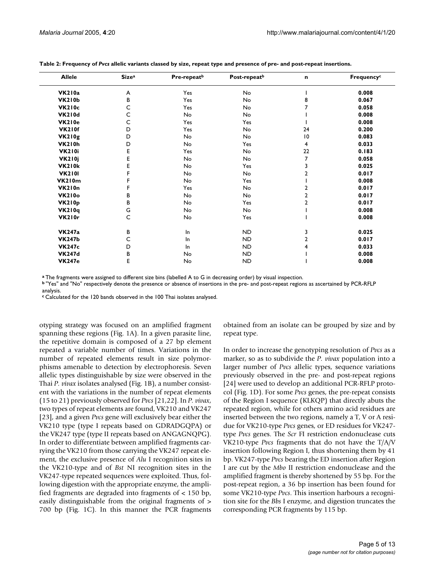| <b>Allele</b> | <b>Size</b> <sup>a</sup> | Pre-repeat <sup>b</sup> | Post-repeat <sup>b</sup> | n              | Frequency <sup>c</sup> |
|---------------|--------------------------|-------------------------|--------------------------|----------------|------------------------|
| <b>VK210a</b> | A                        | Yes                     | No                       |                | 0.008                  |
| <b>VK210b</b> | B                        | Yes                     | No                       | 8              | 0.067                  |
| <b>VK210c</b> | C                        | Yes                     | No                       | 7              | 0.058                  |
| <b>VK210d</b> | C                        | No                      | No                       |                | 0.008                  |
| <b>VK210e</b> | C                        | Yes                     | Yes                      |                | 0.008                  |
| <b>VK210f</b> | D                        | Yes                     | No                       | 24             | 0.200                  |
| VK210g        | D                        | No                      | No                       | 10             | 0.083                  |
| <b>VK210h</b> | D                        | No                      | Yes                      | 4              | 0.033                  |
| <b>VK210i</b> | Е                        | Yes                     | No                       | 22             | 0.183                  |
| <b>VK210j</b> | Е                        | No                      | No                       | 7              | 0.058                  |
| <b>VK210k</b> | E                        | No                      | Yes                      | 3              | 0.025                  |
| <b>VK2101</b> | F                        | No                      | No                       | 2              | 0.017                  |
| VK210m        | F                        | No                      | Yes                      |                | 0.008                  |
| <b>VK210n</b> | F                        | Yes                     | No                       | 2              | 0.017                  |
| <b>VK210o</b> | B                        | No                      | No                       | $\overline{a}$ | 0.017                  |
| VK210p        | В                        | No                      | Yes                      | $\overline{2}$ | 0.017                  |
| <b>VK210q</b> | G                        | No                      | No                       |                | 0.008                  |
| VK210r        | C                        | No                      | Yes                      |                | 0.008                  |
| <b>VK247a</b> | в                        | In.                     | ND                       | 3              | 0.025                  |
| <b>VK247b</b> | С                        | In.                     | <b>ND</b>                | 2              | 0.017                  |
| <b>VK247c</b> | D                        | In                      | <b>ND</b>                | 4              | 0.033                  |
| <b>VK247d</b> | В                        | No                      | <b>ND</b>                |                | 0.008                  |
| <b>VK247e</b> | E                        | No                      | <b>ND</b>                |                | 0.008                  |

**Table 2: Frequency of** *Pvcs* **allelic variants classed by size, repeat type and presence of pre- and post-repeat insertions.**

**<sup>a</sup>**The fragments were assigned to different size bins (labelled A to G in decreasing order) by visual inspection.

**<sup>b</sup>**"Yes" and "No" respectively denote the presence or absence of insertions in the pre- and post-repeat regions as ascertained by PCR-RFLP analysis.

**c** Calculated for the 120 bands observed in the 100 Thai isolates analysed.

otyping strategy was focused on an amplified fragment spanning these regions (Fig. 1A). In a given parasite line, the repetitive domain is composed of a 27 bp element repeated a variable number of times. Variations in the number of repeated elements result in size polymorphisms amenable to detection by electrophoresis. Seven allelic types distinguishable by size were observed in the Thai *P. vivax* isolates analysed (Fig. 1B), a number consistent with the variations in the number of repeat elements (15 to 21) previously observed for *Pvcs* [21,22]. In *P. vivax*, two types of repeat elements are found, VK210 and VK247 [23], and a given *Pvcs* gene will exclusively bear either the VK210 type (type I repeats based on GDRADGQPA) or the VK247 type (type II repeats based on ANGAGNQPG). In order to differentiate between amplified fragments carrying the VK210 from those carrying the VK247 repeat element, the exclusive presence of *Alu* I recognition sites in the VK210-type and of *Bst* NI recognition sites in the VK247-type repeated sequences were exploited. Thus, following digestion with the appropriate enzyme, the amplified fragments are degraded into fragments of < 150 bp, easily distinguishable from the original fragments of > 700 bp (Fig. 1C). In this manner the PCR fragments obtained from an isolate can be grouped by size and by repeat type.

In order to increase the genotyping resolution of *Pvcs* as a marker, so as to subdivide the *P. vivax* population into a larger number of *Pvcs* allelic types, sequence variations previously observed in the pre- and post-repeat regions [24] were used to develop an additional PCR-RFLP protocol (Fig. 1D). For some *Pvcs* genes, the pre-repeat consists of the Region I sequence (KLKQP) that directly abuts the repeated region, while for others amino acid residues are inserted between the two regions, namely a T, V or A residue for VK210-type *Pvcs* genes, or ED residues for VK247 type *Pvcs* genes. The *Scr* FI restriction endonuclease cuts VK210-type *Pvcs* fragments that do not have the T/A/V insertion following Region I, thus shortening them by 41 bp. VK247-type *Pvcs* bearing the ED insertion after Region I are cut by the *Mbo* II restriction endonuclease and the amplified fragment is thereby shortened by 55 bp. For the post-repeat region, a 36 bp insertion has been found for some VK210-type *Pvcs*. This insertion harbours a recognition site for the *Bbs* I enzyme, and digestion truncates the corresponding PCR fragments by 115 bp.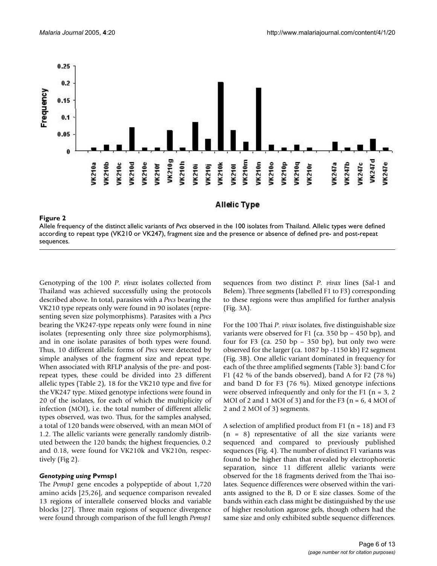

Allele frequency of the distinct allelic variants of *Pvcs* observed in the 100 isolates from Thailand. Allelic types were defined according to repeat type (VK210 or VK247), fragment size and the presence or absence of defined pre- and post-repeat sequences.

Genotyping of the 100 *P. vivax* isolates collected from Thailand was achieved successfully using the protocols described above. In total, parasites with a *Pvcs* bearing the VK210 type repeats only were found in 90 isolates (representing seven size polymorphisms). Parasites with a *Pvcs* bearing the VK247-type repeats only were found in nine isolates (representing only three size polymorphisms), and in one isolate parasites of both types were found. Thus, 10 different allelic forms of *Pvcs* were detected by simple analyses of the fragment size and repeat type. When associated with RFLP analysis of the pre- and postrepeat types, these could be divided into 23 different allelic types (Table 2), 18 for the VK210 type and five for the VK247 type. Mixed genotype infections were found in 20 of the isolates, for each of which the multiplicity of infection (MOI), i.e. the total number of different allelic types observed, was two. Thus, for the samples analysed, a total of 120 bands were observed, with an mean MOI of 1.2. The allelic variants were generally randomly distributed between the 120 bands; the highest frequencies, 0.2 and 0.18, were found for VK210k and VK210n, respectively (Fig 2).

#### *Genotyping using* **Pvmsp1**

The *Pvmsp1* gene encodes a polypeptide of about 1,720 amino acids [25,26], and sequence comparison revealed 13 regions of interallele conserved blocks and variable blocks [27]. Three main regions of sequence divergence were found through comparison of the full length *Pvmsp1*

sequences from two distinct *P. vivax* lines (Sal-1 and Belem). Three segments (labelled F1 to F3) corresponding to these regions were thus amplified for further analysis (Fig. 3A).

For the 100 Thai *P. vivax* isolates, five distinguishable size variants were observed for F1 (ca.  $350$  bp  $- 450$  bp), and four for F3 (ca.  $250$  bp –  $350$  bp), but only two were observed for the larger (ca. 1087 bp -1150 kb) F2 segment (Fig. 3B). One allelic variant dominated in frequency for each of the three amplified segments (Table 3): band C for F1 (42 % of the bands observed), band A for F2 (78 %) and band D for F3 (76 %). Mixed genotype infections were observed infrequently and only for the F1 ( $n = 3, 2$ ) MOI of 2 and 1 MOI of 3) and for the F3 ( $n = 6$ , 4 MOI of 2 and 2 MOI of 3) segments.

A selection of amplified product from F1 ( $n = 18$ ) and F3  $(n = 8)$  representative of all the size variants were sequenced and compared to previously published sequences (Fig. 4). The number of distinct F1 variants was found to be higher than that revealed by electrophoretic separation, since 11 different allelic variants were observed for the 18 fragments derived from the Thai isolates. Sequence differences were observed within the variants assigned to the B, D or E size classes. Some of the bands within each class might be distinguished by the use of higher resolution agarose gels, though others had the same size and only exhibited subtle sequence differences.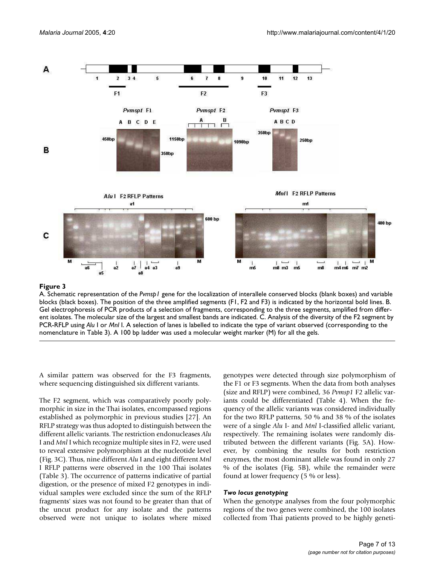

#### A. Schematic representation of the **Figure 3** blocks (black boxes) *Pvmsp1* gene for the localization of interallele conserved blocks (blank boxes) and variable

A. Schematic representation of the *Pvmsp1* gene for the localization of interallele conserved blocks (blank boxes) and variable blocks (black boxes). The position of the three amplified segments (F1, F2 and F3) is indicated by the horizontal bold lines. B. Gel electrophoresis of PCR products of a selection of fragments, corresponding to the three segments, amplified from different isolates. The molecular size of the largest and smallest bands are indicated. C. Analysis of the diversity of the F2 segment by PCR-RFLP using *Alu* I or *Mnl* I. A selection of lanes is labelled to indicate the type of variant observed (corresponding to the nomenclature in Table 3). A 100 bp ladder was used a molecular weight marker (M) for all the gels.

A similar pattern was observed for the F3 fragments, where sequencing distinguished six different variants.

The F2 segment, which was comparatively poorly polymorphic in size in the Thai isolates, encompassed regions established as polymorphic in previous studies [27]. An RFLP strategy was thus adopted to distinguish between the different allelic variants. The restriction endonucleases *Alu* I and *Mnl* I which recognize multiple sites in F2, were used to reveal extensive polymorphism at the nucleotide level (Fig. 3C). Thus, nine different *Alu* I and eight different *Mnl* I RFLP patterns were observed in the 100 Thai isolates (Table 3). The occurrence of patterns indicative of partial digestion, or the presence of mixed F2 genotypes in individual samples were excluded since the sum of the RFLP fragments' sizes was not found to be greater than that of the uncut product for any isolate and the patterns observed were not unique to isolates where mixed genotypes were detected through size polymorphism of the F1 or F3 segments. When the data from both analyses (size and RFLP) were combined, 36 *Pvmsp1* F2 allelic variants could be differentiated (Table 4). When the frequency of the allelic variants was considered individually for the two RFLP patterns, 50 % and 38 % of the isolates were of a single *Alu* I- and *Mnl* I-classified allelic variant, respectively. The remaining isolates were randomly distributed between the different variants (Fig. 5A). However, by combining the results for both restriction enzymes, the most dominant allele was found in only 27 % of the isolates (Fig. 5B), while the remainder were found at lower frequency (5 % or less).

#### *Two locus genotyping*

When the genotype analyses from the four polymorphic regions of the two genes were combined, the 100 isolates collected from Thai patients proved to be highly geneti-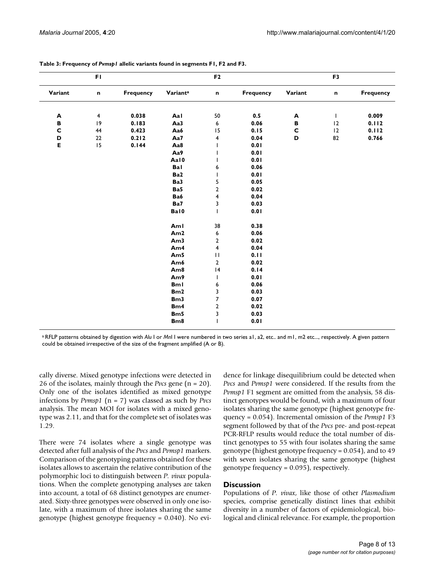|             | FI             |           |                      | F <sub>2</sub>          |                  |              | F <sub>3</sub> |           |
|-------------|----------------|-----------|----------------------|-------------------------|------------------|--------------|----------------|-----------|
| Variant     | $\mathbf n$    | Frequency | Variant <sup>a</sup> | n                       | <b>Frequency</b> | Variant      | n              | Frequency |
| A           | $\overline{4}$ | 0.038     | Aal                  | 50                      | 0.5              | A            | $\mathbf{I}$   | 0.009     |
| B           | 9              | 0.183     | Aa3                  | 6                       | 0.06             | B            | 12             | 0.112     |
| $\mathbf c$ | 44             | 0.423     | Aa6                  | 15                      | 0.15             | $\mathbf{C}$ | 12             | 0.112     |
| D           | 22             | 0.212     | Aa7                  | 4                       | 0.04             | D            | 82             | 0.766     |
| E           | 15             | 0.144     | Aa8                  |                         | 0.01             |              |                |           |
|             |                |           | Aa9                  |                         | 0.01             |              |                |           |
|             |                |           | Aal0                 |                         | 0.01             |              |                |           |
|             |                |           | Bal                  | 6                       | 0.06             |              |                |           |
|             |                |           | Ba2                  | T                       | 0.01             |              |                |           |
|             |                |           | Ba3                  | 5                       | 0.05             |              |                |           |
|             |                |           | Ba5                  | $\boldsymbol{2}$        | 0.02             |              |                |           |
|             |                |           | Ba6                  | $\overline{\mathbf{4}}$ | 0.04             |              |                |           |
|             |                |           | Ba7                  | 3                       | 0.03             |              |                |           |
|             |                |           | Bal0                 | T                       | 0.01             |              |                |           |
|             |                |           | Aml                  | 38                      | 0.38             |              |                |           |
|             |                |           | Am2                  | 6                       | 0.06             |              |                |           |
|             |                |           | Am <sub>3</sub>      | $\overline{2}$          | 0.02             |              |                |           |
|             |                |           | Am4                  | 4                       | 0.04             |              |                |           |
|             |                |           | Am5                  | $\mathbf{H}$            | 0.11             |              |                |           |
|             |                |           | Am6                  | $\overline{2}$          | 0.02             |              |                |           |
|             |                |           | Am <sub>8</sub>      | 4                       | 0.14             |              |                |           |
|             |                |           | Am9                  | T                       | 0.01             |              |                |           |
|             |                |           | <b>Bml</b>           | 6                       | 0.06             |              |                |           |
|             |                |           | Bm2                  | 3                       | 0.03             |              |                |           |
|             |                |           | Bm3                  | $\overline{7}$          | 0.07             |              |                |           |
|             |                |           | Bm4                  | $\overline{2}$          | 0.02             |              |                |           |
|             |                |           | Bm5                  | 3                       | 0.03             |              |                |           |
|             |                |           | B <sub>m</sub> 8     |                         | 0.01             |              |                |           |

#### **Table 3: Frequency of** *Pvmsp1* **allelic variants found in segments F1, F2 and F3.**

a RFLP patterns obtained by digestion with *Alu I or Mnl I were numbered in two series a1*, a2, etc.. and m1, m2 etc..., respectively. A given pattern could be obtained irrespective of the size of the fragment amplified (A or B).

cally diverse. Mixed genotype infections were detected in 26 of the isolates, mainly through the *Pvcs* gene (n = 20). Only one of the isolates identified as mixed genotype infections by *Pvmsp1* (n = 7) was classed as such by *Pvcs* analysis. The mean MOI for isolates with a mixed genotype was 2.11, and that for the complete set of isolates was 1.29.

There were 74 isolates where a single genotype was detected after full analysis of the *Pvcs* and *Pvmsp1* markers. Comparison of the genotyping patterns obtained for these isolates allows to ascertain the relative contribution of the polymorphic loci to distinguish between *P. vivax* populations. When the complete genotyping analyses are taken into account, a total of 68 distinct genotypes are enumerated. Sixty-three genotypes were observed in only one isolate, with a maximum of three isolates sharing the same genotype (highest genotype frequency = 0.040). No evidence for linkage disequilibrium could be detected when *Pvcs* and *Pvmsp1* were considered. If the results from the *Pvmsp1* F1 segment are omitted from the analysis, 58 distinct genotypes would be found, with a maximum of four isolates sharing the same genotype (highest genotype frequency = 0.054). Incremental omission of the *Pvmsp1* F3 segment followed by that of the *Pvcs* pre- and post-repeat PCR-RFLP results would reduce the total number of distinct genotypes to 55 with four isolates sharing the same genotype (highest genotype frequency = 0.054), and to 49 with seven isolates sharing the same genotype (highest genotype frequency = 0.095), respectively.

# **Discussion**

Populations of *P. vivax*, like those of other *Plasmodium* species, comprise genetically distinct lines that exhibit diversity in a number of factors of epidemiological, biological and clinical relevance. For example, the proportion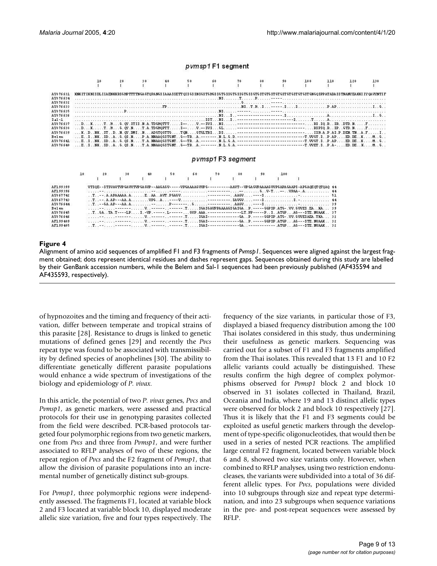#### pvmsp1F1 segment



| F199399 |  |  |  |  | VT30E--3T3VAVTVP GAVVTVP GAGVP--AAGAGV-----VPGAAAGGVVPG---------AAVT--VPGAGVPAAAAGGVVPGAPAGAAP3-APGAGEGTGT0A0-44 |  |
|---------|--|--|--|--|------------------------------------------------------------------------------------------------------------------|--|
| F199396 |  |  |  |  |                                                                                                                  |  |
| 2867742 |  |  |  |  |                                                                                                                  |  |
| 7867743 |  |  |  |  | $1.1.1 - 1.8.8P - - 8.8.8$                                                                                       |  |
| Y876644 |  |  |  |  |                                                                                                                  |  |
| elem    |  |  |  |  |                                                                                                                  |  |
| Y876645 |  |  |  |  | T. .68. .TA .T----LPS.-WP.------.L------ GVP.AAA.--------------LT.PP-----PSATGPAG---STE.NVAAK37                  |  |
| ¥876646 |  |  |  |  |                                                                                                                  |  |
| F199409 |  |  |  |  |                                                                                                                  |  |
| F199405 |  |  |  |  |                                                                                                                  |  |
|         |  |  |  |  |                                                                                                                  |  |

### Alignment of amino acid sequences of **Figure 4** amplified F1 and F3 fragments of *Pvmsp1*

No Pos Del Pas Pas

Alignment of amino acid sequences of amplified F1 and F3 fragments of *Pvmsp1*. Sequences were aligned against the largest fragment obtained; dots represent identical residues and dashes represent gaps. Sequences obtained during this study are labelled by their GenBank accession numbers, while the Belem and Sal-1 sequences had been previously published (AF435594 and AF435593, respectively).

of hypnozoites and the timing and frequency of their activation, differ between temperate and tropical strains of this parasite [28]. Resistance to drugs is linked to genetic mutations of defined genes [29] and recently the *Pvcs* repeat type was found to be associated with transmissibility by defined species of anophelines [30]. The ability to differentiate genetically different parasite populations would enhance a wide spectrum of investigations of the biology and epidemiology of *P. vivax*.

In this article, the potential of two *P. vivax* genes, *Pvcs* and *Pvmsp1*, as genetic markers, were assessed and practical protocols for their use in genotyping parasites collected from the field were described. PCR-based protocols targeted four polymorphic regions from two genetic markers, one from *Pvcs* and three from *Pvmsp1*, and were further associated to RFLP analyses of two of these regions, the repeat region of *Pvcs* and the F2 fragment of *Pvmsp1*, that allow the division of parasite populations into an incremental number of genetically distinct sub-groups.

For *Pvmsp1*, three polymorphic regions were independently assessed. The fragments F1, located at variable block 2 and F3 located at variable block 10, displayed moderate allelic size variation, five and four types respectively. The frequency of the size variants, in particular those of F3, displayed a biased frequency distribution among the 100 Thai isolates considered in this study, thus undermining their usefulness as genetic markers. Sequencing was carried out for a subset of F1 and F3 fragments amplified from the Thai isolates. This revealed that 13 F1 and 10 F2 allelic variants could actually be distinguished. These results confirm the high degree of complex polymorphisms observed for *Pvmsp1* block 2 and block 10 observed in 31 isolates collected in Thailand, Brazil, Oceania and India, where 19 and 13 distinct allelic types were observed for block 2 and block 10 respectively [27]. Thus it is likely that the F1 and F3 segments could be exploited as useful genetic markers through the development of type-specific oligonucleotides, that would then be used in a series of nested PCR reactions. The amplified large central F2 fragment, located between variable block 6 and 8, showed two size variants only. However, when combined to RFLP analyses, using two restriction endonucleases, the variants were subdivided into a total of 36 different allelic types. For *Pvcs*, populations were divided into 10 subgroups through size and repeat type determination, and into 23 subgroups when sequence variations in the pre- and post-repeat sequences were assessed by RFLP.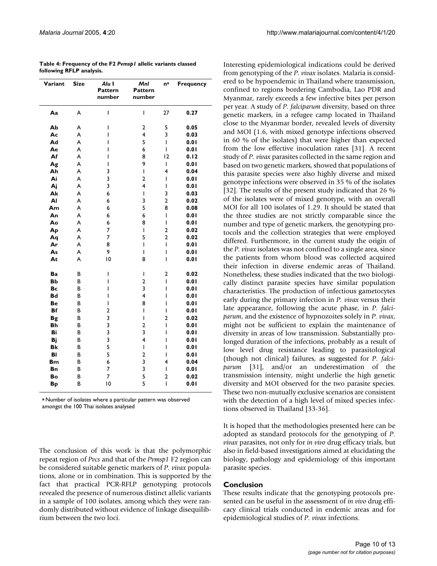| Variant   | <b>Size</b> | Alu I<br><b>Pattern</b><br>number | Mnl<br>Pattern<br>number                                                                                                                                                                                                                                                                                                                                                         | na                      | Frequency |
|-----------|-------------|-----------------------------------|----------------------------------------------------------------------------------------------------------------------------------------------------------------------------------------------------------------------------------------------------------------------------------------------------------------------------------------------------------------------------------|-------------------------|-----------|
| Aa        | A           | I                                 | $\begin{array}{c} \rule{0pt}{2.5ex} \rule{0pt}{2.5ex} \rule{0pt}{2.5ex} \rule{0pt}{2.5ex} \rule{0pt}{2.5ex} \rule{0pt}{2.5ex} \rule{0pt}{2.5ex} \rule{0pt}{2.5ex} \rule{0pt}{2.5ex} \rule{0pt}{2.5ex} \rule{0pt}{2.5ex} \rule{0pt}{2.5ex} \rule{0pt}{2.5ex} \rule{0pt}{2.5ex} \rule{0pt}{2.5ex} \rule{0pt}{2.5ex} \rule{0pt}{2.5ex} \rule{0pt}{2.5ex} \rule{0pt}{2.5ex} \rule{0$ | 27                      | 0.27      |
| Ab        | A           | I                                 | 2                                                                                                                                                                                                                                                                                                                                                                                | 5                       | 0.05      |
| Ac        | A           | ı                                 | $\overline{4}$                                                                                                                                                                                                                                                                                                                                                                   | 3                       | 0.03      |
| Ad        | A           | ı                                 | 5                                                                                                                                                                                                                                                                                                                                                                                | L                       | 0.01      |
| Ae        | A           | ı                                 | 6                                                                                                                                                                                                                                                                                                                                                                                | I                       | 0.01      |
| Af        | A           | I                                 | 8                                                                                                                                                                                                                                                                                                                                                                                | 12                      | 0.12      |
| Ag        | A           | I                                 | 9                                                                                                                                                                                                                                                                                                                                                                                | $\mathbf{I}$            | 0.01      |
| Ah        | A           | 3                                 | L                                                                                                                                                                                                                                                                                                                                                                                | 4                       | 0.04      |
| Ai        | A           | 3                                 | $\overline{2}$                                                                                                                                                                                                                                                                                                                                                                   | $\mathsf{I}$            | 0.01      |
| Aj        | A           | 3                                 | $\overline{4}$                                                                                                                                                                                                                                                                                                                                                                   | T                       | 0.01      |
| Ak        | A           | 6                                 | I                                                                                                                                                                                                                                                                                                                                                                                | 3                       | 0.03      |
| AI        | A           | 6                                 | 3                                                                                                                                                                                                                                                                                                                                                                                | $\overline{2}$          | 0.02      |
| Am        | A           | 6                                 | 5                                                                                                                                                                                                                                                                                                                                                                                | 8                       | 0.08      |
| An        | A           | 6                                 | 6                                                                                                                                                                                                                                                                                                                                                                                | L                       | 0.01      |
| Ao        | A           | 6                                 | 8                                                                                                                                                                                                                                                                                                                                                                                | $\overline{1}$          | 0.01      |
| Ap        | A           | 7                                 | L                                                                                                                                                                                                                                                                                                                                                                                | $\overline{2}$          | 0.02      |
| Aq        | A           | 7                                 | 5                                                                                                                                                                                                                                                                                                                                                                                | $\overline{\mathbf{c}}$ | 0.02      |
| Ar        | A           | 8                                 | I                                                                                                                                                                                                                                                                                                                                                                                | $\mathsf{I}$            | 0.01      |
| As        | A           | 9                                 | L                                                                                                                                                                                                                                                                                                                                                                                | $\overline{1}$          | 0.01      |
| At        | A           | 10                                | 8                                                                                                                                                                                                                                                                                                                                                                                | I                       | 0.01      |
| Ba        | В           | I                                 | I                                                                                                                                                                                                                                                                                                                                                                                | $\overline{2}$          | 0.02      |
| <b>Bb</b> | B           | I                                 | $\overline{2}$                                                                                                                                                                                                                                                                                                                                                                   | $\overline{1}$          | 0.01      |
| Bc        | B           | I                                 | $\overline{\mathbf{3}}$                                                                                                                                                                                                                                                                                                                                                          | I                       | 0.01      |
| <b>Bd</b> | В           | I                                 | $\overline{4}$                                                                                                                                                                                                                                                                                                                                                                   | I                       | 0.01      |
| Be        | B           | I                                 | 8                                                                                                                                                                                                                                                                                                                                                                                | I                       | 0.01      |
| <b>Bf</b> | В           | 2                                 | I                                                                                                                                                                                                                                                                                                                                                                                | $\mathsf{I}$            | 0.01      |
| <b>Bg</b> | B           | 3                                 | $\overline{\phantom{a}}$                                                                                                                                                                                                                                                                                                                                                         | $\overline{a}$          | 0.02      |
| Bh        | В           | 3                                 | $\overline{\mathbf{c}}$                                                                                                                                                                                                                                                                                                                                                          | I                       | 0.01      |
| Bi        | В           | 3                                 | 3                                                                                                                                                                                                                                                                                                                                                                                | I                       | 0.01      |
| Bj        | В           | 3                                 | 4                                                                                                                                                                                                                                                                                                                                                                                | I                       | 0.01      |
| <b>Bk</b> | B           | 5                                 | $\overline{1}$                                                                                                                                                                                                                                                                                                                                                                   | I                       | 0.01      |
| BI        | B           | 5                                 | $\overline{2}$                                                                                                                                                                                                                                                                                                                                                                   | I                       | 0.01      |
| <b>Bm</b> | В           | 6                                 | 3                                                                                                                                                                                                                                                                                                                                                                                | 4                       | 0.04      |
| Bn        | В           | 7                                 | 3                                                                                                                                                                                                                                                                                                                                                                                | I                       | 0.01      |
| Bo        | B           | 7                                 | 5                                                                                                                                                                                                                                                                                                                                                                                | $\overline{a}$          | 0.02      |
| <b>Bp</b> | B           | $\overline{10}$                   | 5                                                                                                                                                                                                                                                                                                                                                                                | $\overline{1}$          | 0.01      |

**Table 4: Frequency of the F2** *Pvmsp1* **allelic variants classed following RFLP analysis.**

**<sup>a</sup>**Number of isolates where a particular pattern was observed amongst the 100 Thai isolates analysed

The conclusion of this work is that the polymorphic repeat region of *Pvcs* and that of the *Pvmsp1* F2 region can be considered suitable genetic markers of *P. vivax* populations, alone or in combination. This is supported by the fact that practical PCR-RFLP genotyping protocols revealed the presence of numerous distinct allelic variants in a sample of 100 isolates, among which they were randomly distributed without evidence of linkage disequilibrium between the two loci.

Interesting epidemiological indications could be derived from genotyping of the *P. vivax* isolates. Malaria is considered to be hypoendemic in Thailand where transmission, confined to regions bordering Cambodia, Lao PDR and Myanmar, rarely exceeds a few infective bites per person per year. A study of *P. falciparum* diversity, based on three genetic markers, in a refugee camp located in Thailand close to the Myanmar border, revealed levels of diversity and MOI (1.6, with mixed genotype infections observed in 60 % of the isolates) that were higher than expected from the low effective inoculation rates [31]. A recent study of *P. vivax* parasites collected in the same region and based on two genetic markers, showed that populations of this parasite species were also highly diverse and mixed genotype infections were observed in 35 % of the isolates [32]. The results of the present study indicated that 26 % of the isolates were of mixed genotype, with an overall MOI for all 100 isolates of 1.29. It should be stated that the three studies are not strictly comparable since the number and type of genetic markers, the genotyping protocols and the collection strategies that were employed differed. Furthermore, in the current study the origin of the *P. vivax* isolates was not confined to a single area, since the patients from whom blood was collected acquired their infection in diverse endemic areas of Thailand. Nonetheless, these studies indicated that the two biologically distinct parasite species have similar population characteristics. The production of infectious gametocytes early during the primary infection in *P. vivax* versus their late appearance, following the acute phase, in *P. falciparum*, and the existence of hypnozoites solely in *P. vivax*, might not be sufficient to explain the maintenance of diversity in areas of low transmission. Substantially prolonged duration of the infections, probably as a result of low level drug resistance leading to parasitological (though not clinical) failures, as suggested for *P. falciparum* [31], and/or an underestimation of the transmission intensity, might underlie the high genetic diversity and MOI observed for the two parasite species. These two non-mutually exclusive scenarios are consistent with the detection of a high level of mixed species infections observed in Thailand [33-36].

It is hoped that the methodologies presented here can be adopted as standard protocols for the genotyping of *P. vivax* parasites, not only for *in vivo* drug efficacy trials, but also in field-based investigations aimed at elucidating the biology, pathology and epidemiology of this important parasite species.

# **Conclusion**

These results indicate that the genotyping protocols presented can be useful in the assessment of *in vivo* drug efficacy clinical trials conducted in endemic areas and for epidemiological studies of *P. vivax* infections.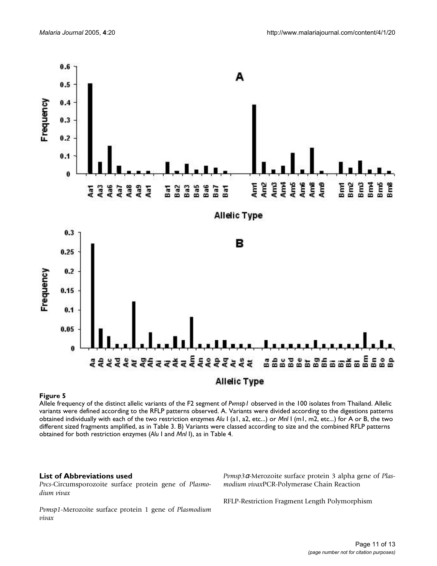

#### Allele frequency of the distinct alle **Figure 5** lic variants of the F2 segment of *Pvmsp1* observed in the 100 isolates from Thailand

Allele frequency of the distinct allelic variants of the F2 segment of *Pvmsp1* observed in the 100 isolates from Thailand. Allelic variants were defined according to the RFLP patterns observed. A. Variants were divided according to the digestions patterns obtained individually with each of the two restriction enzymes *Alu* I (a1, a2, etc...) or *Mnl* I (m1, m2, etc...) for A or B, the two different sized fragments amplified, as in Table 3. B) Variants were classed according to size and the combined RFLP patterns obtained for both restriction enzymes (*Alu* I and *Mnl* I), as in Table 4.

# **List of Abbreviations used**

*Pvcs*-Circumsporozoite surface protein gene of *Plasmodium vivax*

*Pvmsp1*-Merozoite surface protein 1 gene of *Plasmodium vivax*

*Pvmsp3*α-Merozoite surface protein 3 alpha gene of *Plasmodium vivax*PCR-Polymerase Chain Reaction

RFLP-Restriction Fragment Length Polymorphism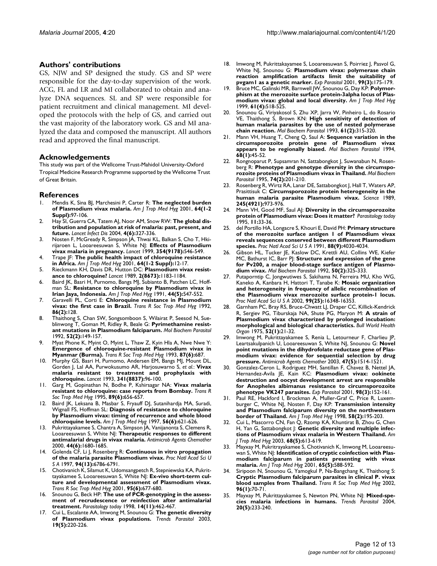#### **Authors' contributions**

GS, NJW and SP designed the study. GS and SP were responsible for the day-to-day supervision of the work. ACG, FL and LR and MI collaborated to obtain and analyze DNA sequences. SL and SP were responsible for patient recruitment and clinical management. MI developed the protocols with the help of GS, and carried out the vast majority of the laboratory work. GS and MI analyzed the data and composed the manuscript. All authors read and approved the final manuscript.

#### **Acknowledgements**

This study was part of the Wellcome Trust-Mahidol University-Oxford Tropical Medicine Research Programme supported by the Wellcome Trust of Great Britain.

#### **References**

- 1. Mendis K, Sina BJ, Marchesini P, Carter R: **[The neglected burden](http://www.ncbi.nlm.nih.gov/entrez/query.fcgi?cmd=Retrieve&db=PubMed&dopt=Abstract&list_uids=11425182) [of Plasmodium vivax malaria.](http://www.ncbi.nlm.nih.gov/entrez/query.fcgi?cmd=Retrieve&db=PubMed&dopt=Abstract&list_uids=11425182)** *Am J Trop Med Hyg* 2001, **64(1-2 Suppl):**97-106.
- 2. Hay SI, Guerra CA, Tatem AJ, Noor AM, Snow RW: **[The global dis](http://www.ncbi.nlm.nih.gov/entrez/query.fcgi?cmd=Retrieve&db=PubMed&dopt=Abstract&list_uids=15172341)[tribution and population at risk of malaria: past, present, and](http://www.ncbi.nlm.nih.gov/entrez/query.fcgi?cmd=Retrieve&db=PubMed&dopt=Abstract&list_uids=15172341) [future.](http://www.ncbi.nlm.nih.gov/entrez/query.fcgi?cmd=Retrieve&db=PubMed&dopt=Abstract&list_uids=15172341)** *Lancet Infect Dis* 2004, **4(6):**327-336.
- Nosten F, McGready R, Simpson JA, Thwai KL, Balkan S, Cho T, Hkirijaroen L, Looareesuwan S, White NJ: **[Effects of Plasmodium](http://www.ncbi.nlm.nih.gov/entrez/query.fcgi?cmd=Retrieve&db=PubMed&dopt=Abstract&list_uids=10470698) [vivax malaria in pregnancy.](http://www.ncbi.nlm.nih.gov/entrez/query.fcgi?cmd=Retrieve&db=PubMed&dopt=Abstract&list_uids=10470698)** *Lancet* 1999, **354(9178):**546-549.
- 4. Trape JF: **[The public health impact of chloroquine resistance](http://www.ncbi.nlm.nih.gov/entrez/query.fcgi?cmd=Retrieve&db=PubMed&dopt=Abstract&list_uids=11425173) [in Africa.](http://www.ncbi.nlm.nih.gov/entrez/query.fcgi?cmd=Retrieve&db=PubMed&dopt=Abstract&list_uids=11425173)** *Am J Trop Med Hyg* 2001, **64(1-2 Suppl):**12-17.
- 5. Rieckmann KH, Davis DR, Hutton DC: **[Plasmodium vivax resist](http://www.ncbi.nlm.nih.gov/entrez/query.fcgi?cmd=Retrieve&db=PubMed&dopt=Abstract&list_uids=2572903)[ance to chloroquine?](http://www.ncbi.nlm.nih.gov/entrez/query.fcgi?cmd=Retrieve&db=PubMed&dopt=Abstract&list_uids=2572903)** *Lancet* 1989, **2(8673):**1183-1184.
- 6. Baird JK, Basri H, Purnomo, Bangs MJ, Subianto B, Patchen LC, Hoffman SL: **[Resistance to chloroquine by Plasmodium vivax in](http://www.ncbi.nlm.nih.gov/entrez/query.fcgi?cmd=Retrieve&db=PubMed&dopt=Abstract&list_uids=1676566) [Irian Jaya, Indonesia.](http://www.ncbi.nlm.nih.gov/entrez/query.fcgi?cmd=Retrieve&db=PubMed&dopt=Abstract&list_uids=1676566)** *Am J Trop Med Hyg* 1991, **44(5):**547-552.
- 7. Garavelli PL, Corti E: **[Chloroquine resistance in Plasmodium](http://www.ncbi.nlm.nih.gov/entrez/query.fcgi?cmd=Retrieve&db=PubMed&dopt=Abstract&list_uids=1440766) [vivax: the first case in Brazil.](http://www.ncbi.nlm.nih.gov/entrez/query.fcgi?cmd=Retrieve&db=PubMed&dopt=Abstract&list_uids=1440766)** *Trans R Soc Trop Med Hyg* 1992, **86(2):**128.
- 8. Thaithong S, Chan SW, Songsomboon S, Wilairat P, Seesod N, Sueblinwong T, Goman M, Ridley R, Beale G: **[Pyrimethamine resist](http://www.ncbi.nlm.nih.gov/entrez/query.fcgi?cmd=Retrieve&db=PubMed&dopt=Abstract&list_uids=1620155)[ant mutations in Plasmodium falciparum.](http://www.ncbi.nlm.nih.gov/entrez/query.fcgi?cmd=Retrieve&db=PubMed&dopt=Abstract&list_uids=1620155)** *Mol Biochem Parasitol* 1992, **52(2):**149-157.
- Myat Phone K, Myint O, Myint L, Thaw Z, Kyin Hla A, Nwe Nwe Y: **[Emergence of chloroquine-resistant Plasmodium vivax in](http://www.ncbi.nlm.nih.gov/entrez/query.fcgi?cmd=Retrieve&db=PubMed&dopt=Abstract&list_uids=8296378) [Myanmar \(Burma\).](http://www.ncbi.nlm.nih.gov/entrez/query.fcgi?cmd=Retrieve&db=PubMed&dopt=Abstract&list_uids=8296378)** *Trans R Soc Trop Med Hyg* 1993, **87(6):**687.
- 10. Murphy GS, Basri H, Purnomo, Andersen EM, Bangs MJ, Mount DL, Gorden J, Lal AA, Purwokusumo AR, Harjosuwarno S, *et al.*: **[Vivax](http://www.ncbi.nlm.nih.gov/entrez/query.fcgi?cmd=Retrieve&db=PubMed&dopt=Abstract&list_uids=8093414) [malaria resistant to treatment and prophylaxis with](http://www.ncbi.nlm.nih.gov/entrez/query.fcgi?cmd=Retrieve&db=PubMed&dopt=Abstract&list_uids=8093414) [chloroquine.](http://www.ncbi.nlm.nih.gov/entrez/query.fcgi?cmd=Retrieve&db=PubMed&dopt=Abstract&list_uids=8093414)** *Lancet* 1993, **341(8837):**96-100.
- 11. Garg M, Gopinathan N, Bodhe P, Kshirsagar NA: **[Vivax malaria](http://www.ncbi.nlm.nih.gov/entrez/query.fcgi?cmd=Retrieve&db=PubMed&dopt=Abstract&list_uids=8594687) [resistant to chloroquine: case reports from Bombay.](http://www.ncbi.nlm.nih.gov/entrez/query.fcgi?cmd=Retrieve&db=PubMed&dopt=Abstract&list_uids=8594687)** *Trans R Soc Trop Med Hyg* 1995, **89(6):**656-657.
- 12. Baird JK, Leksana B, Masbar S, Fryauff DJ, Sutanihardja MA, Suradi, Wignall FS, Hoffman SL: **[Diagnosis of resistance to chloroquine](http://www.ncbi.nlm.nih.gov/entrez/query.fcgi?cmd=Retrieve&db=PubMed&dopt=Abstract&list_uids=9230792) [by Plasmodium vivax: timing of recurrence and whole blood](http://www.ncbi.nlm.nih.gov/entrez/query.fcgi?cmd=Retrieve&db=PubMed&dopt=Abstract&list_uids=9230792) [chloroquine levels.](http://www.ncbi.nlm.nih.gov/entrez/query.fcgi?cmd=Retrieve&db=PubMed&dopt=Abstract&list_uids=9230792)** *Am J Trop Med Hyg* 1997, **56(6):**621-626.
- 13. Pukrittayakamee S, Chantra A, Simpson JA, Vanijanonta S, Clemens R, Looareesuwan S, White NJ: **[Therapeutic responses to different](http://www.ncbi.nlm.nih.gov/entrez/query.fcgi?cmd=Retrieve&db=PubMed&dopt=Abstract&list_uids=10817728) [antimalarial drugs in vivax malaria.](http://www.ncbi.nlm.nih.gov/entrez/query.fcgi?cmd=Retrieve&db=PubMed&dopt=Abstract&list_uids=10817728)** *Antimicrob Agents Chemother* 2000, **44(6):**1680-1685.
- 14. Golenda CF, Li J, Rosenberg R: **[Continuous in vitro propagation](http://www.ncbi.nlm.nih.gov/entrez/query.fcgi?cmd=Retrieve&db=PubMed&dopt=Abstract&list_uids=9192643) [of the malaria parasite Plasmodium vivax.](http://www.ncbi.nlm.nih.gov/entrez/query.fcgi?cmd=Retrieve&db=PubMed&dopt=Abstract&list_uids=9192643)** *Proc Natl Acad Sci U S A* 1997, **94(13):**6786-6791.
- 15. Chotivanich K, Silamut K, Udomsangpetch R, Stepniewska KA, Pukrittayakamee S, Looareesuwan S, White NJ: **[Ex-vivo short-term cul](http://www.ncbi.nlm.nih.gov/entrez/query.fcgi?cmd=Retrieve&db=PubMed&dopt=Abstract&list_uids=11816444)[ture and developmental assessment of Plasmodium vivax.](http://www.ncbi.nlm.nih.gov/entrez/query.fcgi?cmd=Retrieve&db=PubMed&dopt=Abstract&list_uids=11816444)** *Trans R Soc Trop Med Hyg* 2001, **95(6):**677-680.
- 16. Snounou G, Beck HP: **The use of PCR-genotyping in the assessment of recrudescence or reinfection after antimalarial treatment.** *Parasitology today* 1998, **14(11):**462-467.
- 17. Cui L, Escalante AA, Imwong M, Snounou G: **[The genetic diversity](http://www.ncbi.nlm.nih.gov/entrez/query.fcgi?cmd=Retrieve&db=PubMed&dopt=Abstract&list_uids=12763428) [of Plasmodium vivax populations.](http://www.ncbi.nlm.nih.gov/entrez/query.fcgi?cmd=Retrieve&db=PubMed&dopt=Abstract&list_uids=12763428)** *Trends Parasitol* 2003, **19(5):**220-226.
- 18. Imwong M, Pukrittakayamee S, Looareesuwan S, Poirriez J, Pasvol G, White NJ, Snounou G: **[Plasmodium vivax: polymerase chain](http://www.ncbi.nlm.nih.gov/entrez/query.fcgi?cmd=Retrieve&db=PubMed&dopt=Abstract&list_uids=11846528) [reaction amplification artifacts limit the suitability of](http://www.ncbi.nlm.nih.gov/entrez/query.fcgi?cmd=Retrieve&db=PubMed&dopt=Abstract&list_uids=11846528) [pvgam1 as a genetic marker.](http://www.ncbi.nlm.nih.gov/entrez/query.fcgi?cmd=Retrieve&db=PubMed&dopt=Abstract&list_uids=11846528)** *Exp Parasitol* 2001, **99(3):**175-179.
- 19. Bruce MC, Galinski MR, Barnwell JW, Snounou G, Day KP: **[Polymor](http://www.ncbi.nlm.nih.gov/entrez/query.fcgi?cmd=Retrieve&db=PubMed&dopt=Abstract&list_uids=10548283)[phism at the merozoite surface protein-3alpha locus of Plas](http://www.ncbi.nlm.nih.gov/entrez/query.fcgi?cmd=Retrieve&db=PubMed&dopt=Abstract&list_uids=10548283)[modium vivax: global and local diversity.](http://www.ncbi.nlm.nih.gov/entrez/query.fcgi?cmd=Retrieve&db=PubMed&dopt=Abstract&list_uids=10548283)** *Am J Trop Med Hyg* 1999, **61(4):**518-525.
- 20. Snounou G, Viriyakosol S, Zhu XP, Jarra W, Pinheiro L, do Rosario VE, Thaithong S, Brown KN: **[High sensitivity of detection of](http://www.ncbi.nlm.nih.gov/entrez/query.fcgi?cmd=Retrieve&db=PubMed&dopt=Abstract&list_uids=8264734) [human malaria parasites by the use of nested polymerase](http://www.ncbi.nlm.nih.gov/entrez/query.fcgi?cmd=Retrieve&db=PubMed&dopt=Abstract&list_uids=8264734) [chain reaction.](http://www.ncbi.nlm.nih.gov/entrez/query.fcgi?cmd=Retrieve&db=PubMed&dopt=Abstract&list_uids=8264734)** *Mol Biochem Parasitol* 1993, **61(2):**315-320.
- 21. Mann VH, Huang T, Cheng Q, Saul A: **[Sequence variation in the](http://www.ncbi.nlm.nih.gov/entrez/query.fcgi?cmd=Retrieve&db=PubMed&dopt=Abstract&list_uids=7891747) [circumsporozoite protein gene of Plasmodium vivax](http://www.ncbi.nlm.nih.gov/entrez/query.fcgi?cmd=Retrieve&db=PubMed&dopt=Abstract&list_uids=7891747) [appears to be regionally biased.](http://www.ncbi.nlm.nih.gov/entrez/query.fcgi?cmd=Retrieve&db=PubMed&dopt=Abstract&list_uids=7891747)** *Mol Biochem Parasitol* 1994, **68(1):**45-52.
- 22. Rongnoparut P, Supsamran N, Sattabongkot J, Suwanabun N, Rosenberg R: **[Phenotype and genotype diversity in the circumspo](http://www.ncbi.nlm.nih.gov/entrez/query.fcgi?cmd=Retrieve&db=PubMed&dopt=Abstract&list_uids=8719161)[rozoite proteins of Plasmodium vivax in Thailand.](http://www.ncbi.nlm.nih.gov/entrez/query.fcgi?cmd=Retrieve&db=PubMed&dopt=Abstract&list_uids=8719161)** *Mol Biochem Parasitol* 1995, **74(2):**201-210.
- 23. Rosenberg R, Wirtz RA, Lanar DE, Sattabongkot J, Hall T, Waters AP, Prasittisuk C: **[Circumsporozoite protein heterogeneity in the](http://www.ncbi.nlm.nih.gov/entrez/query.fcgi?cmd=Retrieve&db=PubMed&dopt=Abstract&list_uids=2672336) [human malaria parasite Plasmodium vivax.](http://www.ncbi.nlm.nih.gov/entrez/query.fcgi?cmd=Retrieve&db=PubMed&dopt=Abstract&list_uids=2672336)** *Science* 1989, **245(4921):**973-976.
- 24. Mann VH, Good MF, Saul AJ: **Diversity in the circumsporozoite protein of Plasmodium vivax: Does it matter?** *Parasitology today* 1995, **11:**33-36.
- 25. del Portillo HA, Longacre S, Khouri E, David PH: **[Primary structure](http://www.ncbi.nlm.nih.gov/entrez/query.fcgi?cmd=Retrieve&db=PubMed&dopt=Abstract&list_uids=2023952) [of the merozoite surface antigen 1 of Plasmodium vivax](http://www.ncbi.nlm.nih.gov/entrez/query.fcgi?cmd=Retrieve&db=PubMed&dopt=Abstract&list_uids=2023952) reveals sequences conserved between different Plasmodium [species.](http://www.ncbi.nlm.nih.gov/entrez/query.fcgi?cmd=Retrieve&db=PubMed&dopt=Abstract&list_uids=2023952)** *Proc Natl Acad Sci U S A* 1991, **88(9):**4030-4034.
- 26. Gibson HL, Tucker JE, Kaslow DC, Krettli AU, Collins WE, Kiefer MC, Bathurst IC, Barr PJ: **[Structure and expression of the gene](http://www.ncbi.nlm.nih.gov/entrez/query.fcgi?cmd=Retrieve&db=PubMed&dopt=Abstract&list_uids=1371329) [for Pv200, a major blood-stage surface antigen of Plasmo](http://www.ncbi.nlm.nih.gov/entrez/query.fcgi?cmd=Retrieve&db=PubMed&dopt=Abstract&list_uids=1371329)[dium vivax.](http://www.ncbi.nlm.nih.gov/entrez/query.fcgi?cmd=Retrieve&db=PubMed&dopt=Abstract&list_uids=1371329)** *Mol Biochem Parasitol* 1992, **50(2):**325-333.
- Putaporntip C, Jongwutiwes S, Sakihama N, Ferreira MU, Kho WG, Kaneko A, Kanbara H, Hattori T, Tanabe K: **[Mosaic organization](http://www.ncbi.nlm.nih.gov/entrez/query.fcgi?cmd=Retrieve&db=PubMed&dopt=Abstract&list_uids=12466500) [and heterogeneity in frequency of allelic recombination of](http://www.ncbi.nlm.nih.gov/entrez/query.fcgi?cmd=Retrieve&db=PubMed&dopt=Abstract&list_uids=12466500) the Plasmodium vivax merozoite surface protein-1 locus.** *Proc Natl Acad Sci U S A* 2002, **99(25):**16348-16353.
- Garnham PC, Bray RS, Bruce-Chwatt LJ, Draper CC, Killick-Kendrick R, Sergiev PG, Tiburskaja NA, Shute PG, Maryon M: **[A strain of](http://www.ncbi.nlm.nih.gov/entrez/query.fcgi?cmd=Retrieve&db=PubMed&dopt=Abstract&list_uids=764993) [Plasmodium vivax characterized by prolonged incubation:](http://www.ncbi.nlm.nih.gov/entrez/query.fcgi?cmd=Retrieve&db=PubMed&dopt=Abstract&list_uids=764993) [morphological and biological characteristics.](http://www.ncbi.nlm.nih.gov/entrez/query.fcgi?cmd=Retrieve&db=PubMed&dopt=Abstract&list_uids=764993)** *Bull World Health Organ* 1975, **52(1):**21-32.
- Imwong M, Pukrittayakamee S, Renia L, Letourneur F, Charlieu JP, Leartsakulpanich U, Looareesuwan S, White NJ, Snounou G: **[Novel](http://www.ncbi.nlm.nih.gov/entrez/query.fcgi?cmd=Retrieve&db=PubMed&dopt=Abstract&list_uids=12709316) [point mutations in the dihydrofolate reductase gene of Plas](http://www.ncbi.nlm.nih.gov/entrez/query.fcgi?cmd=Retrieve&db=PubMed&dopt=Abstract&list_uids=12709316)modium vivax: evidence for sequential selection by drug [pressure.](http://www.ncbi.nlm.nih.gov/entrez/query.fcgi?cmd=Retrieve&db=PubMed&dopt=Abstract&list_uids=12709316)** *Antimicrob Agents Chemother* 2003, **47(5):**1514-1521.
- 30. Gonzalez-Ceron L, Rodriguez MH, Santillan F, Chavez B, Nettel JA, Hernandez-Avila JE, Kain KC: **[Plasmodium vivax: ookinete](http://www.ncbi.nlm.nih.gov/entrez/query.fcgi?cmd=Retrieve&db=PubMed&dopt=Abstract&list_uids=11527438) [destruction and oocyst development arrest are responsible](http://www.ncbi.nlm.nih.gov/entrez/query.fcgi?cmd=Retrieve&db=PubMed&dopt=Abstract&list_uids=11527438) for Anopheles albimanus resistance to circumsporozoite [phenotype VK247 parasites.](http://www.ncbi.nlm.nih.gov/entrez/query.fcgi?cmd=Retrieve&db=PubMed&dopt=Abstract&list_uids=11527438)** *Exp Parasitol* 2001, **98(3):**152-161.
- 31. Paul RE, Hackford I, Brockman A, Muller-Graf C, Price R, Luxemburger C, White NJ, Nosten F, Day KP: **[Transmission intensity](http://www.ncbi.nlm.nih.gov/entrez/query.fcgi?cmd=Retrieve&db=PubMed&dopt=Abstract&list_uids=9502604) [and Plasmodium falciparum diversity on the northwestern](http://www.ncbi.nlm.nih.gov/entrez/query.fcgi?cmd=Retrieve&db=PubMed&dopt=Abstract&list_uids=9502604) [border of Thailand.](http://www.ncbi.nlm.nih.gov/entrez/query.fcgi?cmd=Retrieve&db=PubMed&dopt=Abstract&list_uids=9502604)** *Am J Trop Med Hyg* 1998, **58(2):**195-203.
- 32. Cui L, Mascorro CN, Fan Q, Rzomp KA, Khuntirat B, Zhou G, Chen H, Yan G, Sattabongkot J: **[Genetic diversity and multiple infec](http://www.ncbi.nlm.nih.gov/entrez/query.fcgi?cmd=Retrieve&db=PubMed&dopt=Abstract&list_uids=12812356)[tions of Plasmodium vivax malaria in Western Thailand.](http://www.ncbi.nlm.nih.gov/entrez/query.fcgi?cmd=Retrieve&db=PubMed&dopt=Abstract&list_uids=12812356)** *Am J Trop Med Hyg* 2003, **68(5):**613-619.
- 33. Mayxay M, Pukritrayakamee S, Chotivanich K, Imwong M, Looareesuwan S, White NJ: **[Identification of cryptic coinfection with Plas](http://www.ncbi.nlm.nih.gov/entrez/query.fcgi?cmd=Retrieve&db=PubMed&dopt=Abstract&list_uids=11716119)[modium falciparum in patients presenting with vivax](http://www.ncbi.nlm.nih.gov/entrez/query.fcgi?cmd=Retrieve&db=PubMed&dopt=Abstract&list_uids=11716119) [malaria.](http://www.ncbi.nlm.nih.gov/entrez/query.fcgi?cmd=Retrieve&db=PubMed&dopt=Abstract&list_uids=11716119)** *Am J Trop Med Hyg* 2001, **65(5):**588-592.
- Siripoon N, Snounou G, Yamogkul P, Na-Bangchang K, Thaithong S: **[Cryptic Plasmodium falciparum parasites in clinical P. vivax](http://www.ncbi.nlm.nih.gov/entrez/query.fcgi?cmd=Retrieve&db=PubMed&dopt=Abstract&list_uids=11925999) [blood samples from Thailand.](http://www.ncbi.nlm.nih.gov/entrez/query.fcgi?cmd=Retrieve&db=PubMed&dopt=Abstract&list_uids=11925999)** *Trans R Soc Trop Med Hyg* 2002, **96(1):**70-71.
- 35. Mayxay M, Pukrittayakamee S, Newton PN, White NJ: **[Mixed-spe](http://www.ncbi.nlm.nih.gov/entrez/query.fcgi?cmd=Retrieve&db=PubMed&dopt=Abstract&list_uids=15105024)[cies malaria infections in humans.](http://www.ncbi.nlm.nih.gov/entrez/query.fcgi?cmd=Retrieve&db=PubMed&dopt=Abstract&list_uids=15105024)** *Trends Parasitol* 2004, **20(5):**233-240.